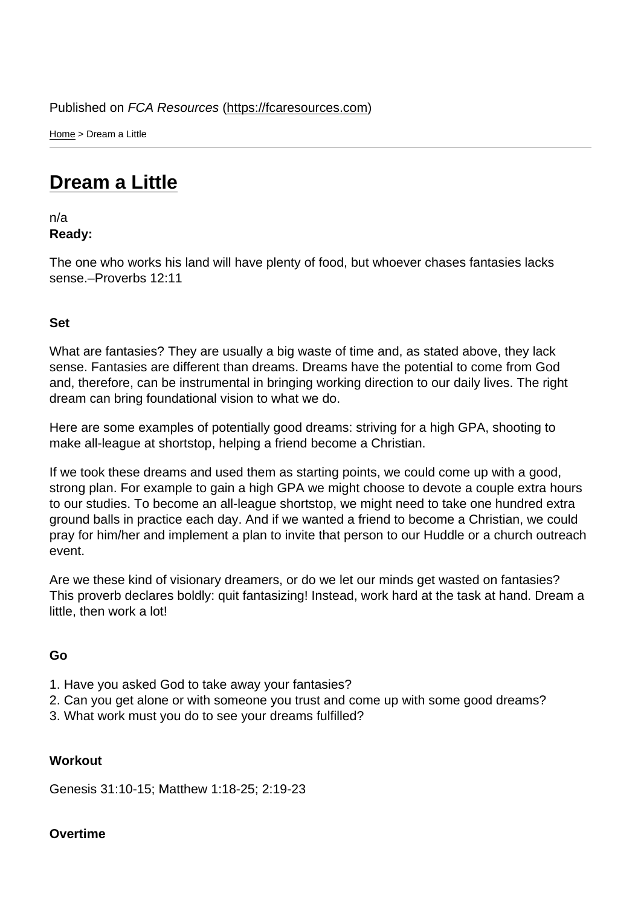Home > Dream a Little

## [Dre](https://fcaresources.com/)am a Little

n/a [Ready:](https://fcaresources.com/devotional/dream-little) 

The one who works his land will have plenty of food, but whoever chases fantasies lacks sense.–Proverbs 12:11

Set

What are fantasies? They are usually a big waste of time and, as stated above, they lack sense. Fantasies are different than dreams. Dreams have the potential to come from God and, therefore, can be instrumental in bringing working direction to our daily lives. The right dream can bring foundational vision to what we do.

Here are some examples of potentially good dreams: striving for a high GPA, shooting to make all-league at shortstop, helping a friend become a Christian.

If we took these dreams and used them as starting points, we could come up with a good, strong plan. For example to gain a high GPA we might choose to devote a couple extra hours to our studies. To become an all-league shortstop, we might need to take one hundred extra ground balls in practice each day. And if we wanted a friend to become a Christian, we could pray for him/her and implement a plan to invite that person to our Huddle or a church outreach event.

Are we these kind of visionary dreamers, or do we let our minds get wasted on fantasies? This proverb declares boldly: quit fantasizing! Instead, work hard at the task at hand. Dream a little, then work a lot!

Go

- 1. Have you asked God to take away your fantasies?
- 2. Can you get alone or with someone you trust and come up with some good dreams?
- 3. What work must you do to see your dreams fulfilled?

**Workout** 

Genesis 31:10-15; Matthew 1:18-25; 2:19-23

Overtime